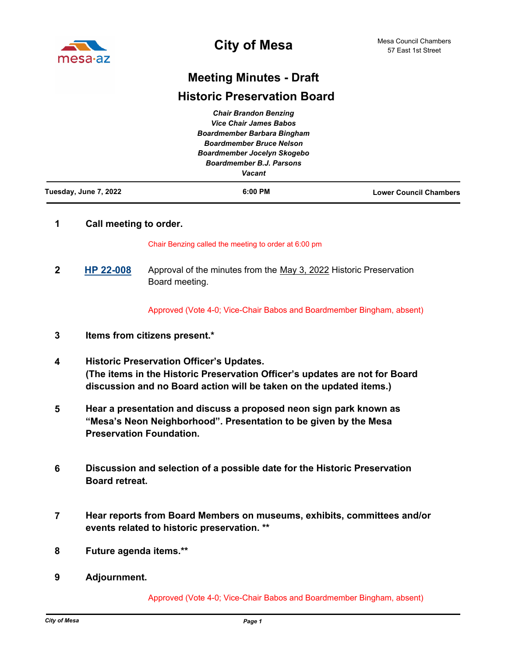

## **Meeting Minutes - Draft**

## **Historic Preservation Board**

| Tuesday, June 7, 2022 | 6:00 PM                            | <b>Lower Council Chambers</b> |
|-----------------------|------------------------------------|-------------------------------|
|                       | <b>Vacant</b>                      |                               |
|                       | <b>Boardmember B.J. Parsons</b>    |                               |
|                       | Boardmember Jocelyn Skogebo        |                               |
|                       | <b>Boardmember Bruce Nelson</b>    |                               |
|                       | <b>Boardmember Barbara Bingham</b> |                               |
|                       | <b>Vice Chair James Babos</b>      |                               |
|                       | <b>Chair Brandon Benzing</b>       |                               |

## **1 Call meeting to order.**

Chair Benzing called the meeting to order at 6:00 pm

**2 [HP 22-008](http://mesa.legistar.com/gateway.aspx?m=l&id=/matter.aspx?key=18683)** Approval of the minutes from the May 3, 2022 Historic Preservation Board meeting.

Approved (Vote 4-0; Vice-Chair Babos and Boardmember Bingham, absent)

- **3 Items from citizens present.\***
- **Historic Preservation Officer's Updates. (The items in the Historic Preservation Officer's updates are not for Board discussion and no Board action will be taken on the updated items.) 4**
- **Hear a presentation and discuss a proposed neon sign park known as "Mesa's Neon Neighborhood". Presentation to be given by the Mesa Preservation Foundation. 5**
- **Discussion and selection of a possible date for the Historic Preservation Board retreat. 6**
- **Hear reports from Board Members on museums, exhibits, committees and/or events related to historic preservation. \*\* 7**
- **8 Future agenda items.\*\***
- **9 Adjournment.**

Approved (Vote 4-0; Vice-Chair Babos and Boardmember Bingham, absent)